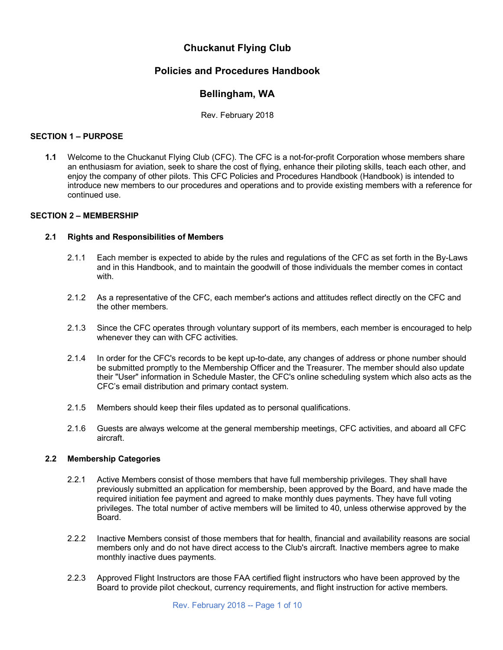# **Chuckanut Flying Club**

# **Policies and Procedures Handbook**

# **Bellingham, WA**

Rev. February 2018

# **SECTION 1 – PURPOSE**

**1.1** Welcome to the Chuckanut Flying Club (CFC). The CFC is a not-for-profit Corporation whose members share an enthusiasm for aviation, seek to share the cost of flying, enhance their piloting skills, teach each other, and enjoy the company of other pilots. This CFC Policies and Procedures Handbook (Handbook) is intended to introduce new members to our procedures and operations and to provide existing members with a reference for continued use.

# **SECTION 2 – MEMBERSHIP**

# **2.1 Rights and Responsibilities of Members**

- 2.1.1 Each member is expected to abide by the rules and regulations of the CFC as set forth in the By-Laws and in this Handbook, and to maintain the goodwill of those individuals the member comes in contact with.
- 2.1.2 As a representative of the CFC, each member's actions and attitudes reflect directly on the CFC and the other members.
- 2.1.3 Since the CFC operates through voluntary support of its members, each member is encouraged to help whenever they can with CFC activities.
- 2.1.4 In order for the CFC's records to be kept up-to-date, any changes of address or phone number should be submitted promptly to the Membership Officer and the Treasurer. The member should also update their "User" information in Schedule Master, the CFC's online scheduling system which also acts as the CFC's email distribution and primary contact system.
- 2.1.5 Members should keep their files updated as to personal qualifications.
- 2.1.6 Guests are always welcome at the general membership meetings, CFC activities, and aboard all CFC aircraft.

### **2.2 Membership Categories**

- 2.2.1 Active Members consist of those members that have full membership privileges. They shall have previously submitted an application for membership, been approved by the Board, and have made the required initiation fee payment and agreed to make monthly dues payments. They have full voting privileges. The total number of active members will be limited to 40, unless otherwise approved by the Board.
- 2.2.2 Inactive Members consist of those members that for health, financial and availability reasons are social members only and do not have direct access to the Club's aircraft. Inactive members agree to make monthly inactive dues payments.
- 2.2.3 Approved Flight Instructors are those FAA certified flight instructors who have been approved by the Board to provide pilot checkout, currency requirements, and flight instruction for active members.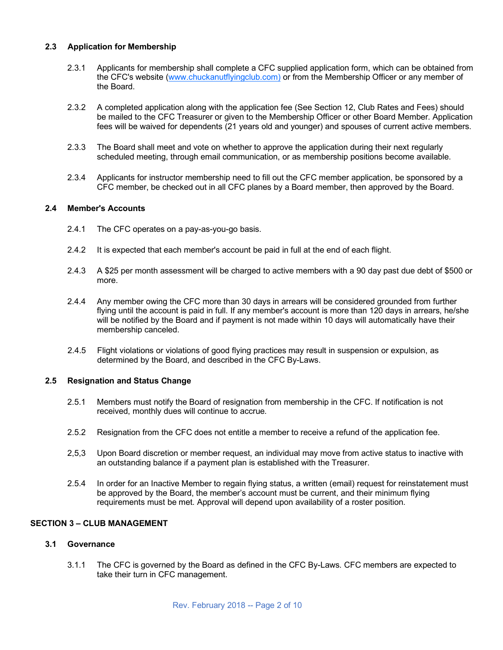# **2.3 Application for Membership**

- 2.3.1 Applicants for membership shall complete a CFC supplied application form, which can be obtained from the CFC's website (www.chuckanutflyingclub.com) or from the Membership Officer or any member of the Board.
- 2.3.2 A completed application along with the application fee (See Section 12, Club Rates and Fees) should be mailed to the CFC Treasurer or given to the Membership Officer or other Board Member. Application fees will be waived for dependents (21 years old and younger) and spouses of current active members.
- 2.3.3 The Board shall meet and vote on whether to approve the application during their next regularly scheduled meeting, through email communication, or as membership positions become available.
- 2.3.4 Applicants for instructor membership need to fill out the CFC member application, be sponsored by a CFC member, be checked out in all CFC planes by a Board member, then approved by the Board.

### **2.4 Member's Accounts**

- 2.4.1 The CFC operates on a pay-as-you-go basis.
- 2.4.2 It is expected that each member's account be paid in full at the end of each flight.
- 2.4.3 A \$25 per month assessment will be charged to active members with a 90 day past due debt of \$500 or more.
- 2.4.4 Any member owing the CFC more than 30 days in arrears will be considered grounded from further flying until the account is paid in full. If any member's account is more than 120 days in arrears, he/she will be notified by the Board and if payment is not made within 10 days will automatically have their membership canceled.
- 2.4.5 Flight violations or violations of good flying practices may result in suspension or expulsion, as determined by the Board, and described in the CFC By-Laws.

### **2.5 Resignation and Status Change**

- 2.5.1 Members must notify the Board of resignation from membership in the CFC. If notification is not received, monthly dues will continue to accrue.
- 2.5.2 Resignation from the CFC does not entitle a member to receive a refund of the application fee.
- 2,5,3 Upon Board discretion or member request, an individual may move from active status to inactive with an outstanding balance if a payment plan is established with the Treasurer.
- 2.5.4 In order for an Inactive Member to regain flying status, a written (email) request for reinstatement must be approved by the Board, the member's account must be current, and their minimum flying requirements must be met. Approval will depend upon availability of a roster position.

# **SECTION 3 – CLUB MANAGEMENT**

### **3.1 Governance**

3.1.1 The CFC is governed by the Board as defined in the CFC By-Laws. CFC members are expected to take their turn in CFC management.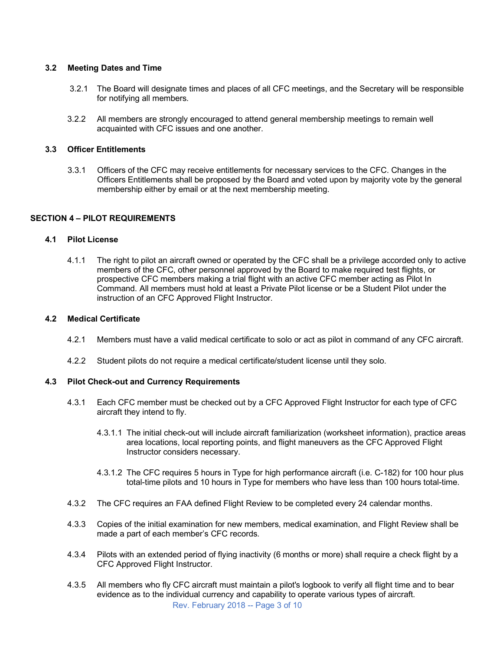# **3.2 Meeting Dates and Time**

- 3.2.1 The Board will designate times and places of all CFC meetings, and the Secretary will be responsible for notifying all members.
- 3.2.2 All members are strongly encouraged to attend general membership meetings to remain well acquainted with CFC issues and one another.

# **3.3 Officer Entitlements**

3.3.1 Officers of the CFC may receive entitlements for necessary services to the CFC. Changes in the Officers Entitlements shall be proposed by the Board and voted upon by majority vote by the general membership either by email or at the next membership meeting.

# **SECTION 4 – PILOT REQUIREMENTS**

# **4.1 Pilot License**

4.1.1 The right to pilot an aircraft owned or operated by the CFC shall be a privilege accorded only to active members of the CFC, other personnel approved by the Board to make required test flights, or prospective CFC members making a trial flight with an active CFC member acting as Pilot In Command. All members must hold at least a Private Pilot license or be a Student Pilot under the instruction of an CFC Approved Flight Instructor.

### **4.2 Medical Certificate**

- 4.2.1 Members must have a valid medical certificate to solo or act as pilot in command of any CFC aircraft.
- 4.2.2 Student pilots do not require a medical certificate/student license until they solo.

# **4.3 Pilot Check-out and Currency Requirements**

- 4.3.1 Each CFC member must be checked out by a CFC Approved Flight Instructor for each type of CFC aircraft they intend to fly.
	- 4.3.1.1 The initial check-out will include aircraft familiarization (worksheet information), practice areas area locations, local reporting points, and flight maneuvers as the CFC Approved Flight Instructor considers necessary.
	- 4.3.1.2 The CFC requires 5 hours in Type for high performance aircraft (i.e. C-182) for 100 hour plus total-time pilots and 10 hours in Type for members who have less than 100 hours total-time.
- 4.3.2 The CFC requires an FAA defined Flight Review to be completed every 24 calendar months.
- 4.3.3 Copies of the initial examination for new members, medical examination, and Flight Review shall be made a part of each member's CFC records.
- 4.3.4 Pilots with an extended period of flying inactivity (6 months or more) shall require a check flight by a CFC Approved Flight Instructor.
- Rev. February 2018 -- Page 3 of 10 4.3.5 All members who fly CFC aircraft must maintain a pilot's logbook to verify all flight time and to bear evidence as to the individual currency and capability to operate various types of aircraft.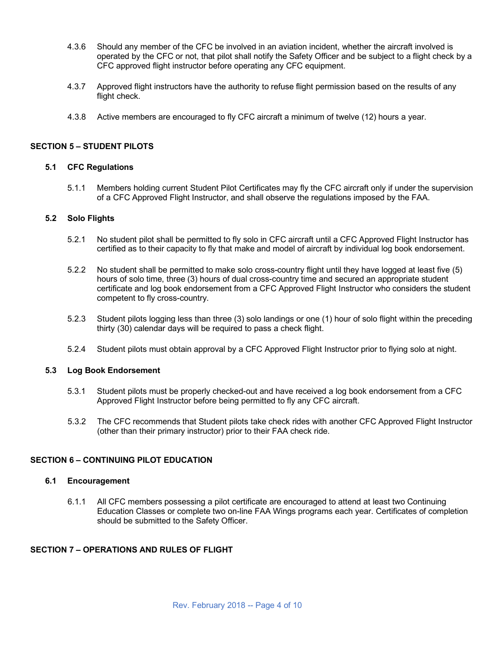- 4.3.6 Should any member of the CFC be involved in an aviation incident, whether the aircraft involved is operated by the CFC or not, that pilot shall notify the Safety Officer and be subject to a flight check by a CFC approved flight instructor before operating any CFC equipment.
- 4.3.7 Approved flight instructors have the authority to refuse flight permission based on the results of any flight check.
- 4.3.8 Active members are encouraged to fly CFC aircraft a minimum of twelve (12) hours a year.

# **SECTION 5 – STUDENT PILOTS**

# **5.1 CFC Regulations**

5.1.1 Members holding current Student Pilot Certificates may fly the CFC aircraft only if under the supervision of a CFC Approved Flight Instructor, and shall observe the regulations imposed by the FAA.

# **5.2 Solo Flights**

- 5.2.1 No student pilot shall be permitted to fly solo in CFC aircraft until a CFC Approved Flight Instructor has certified as to their capacity to fly that make and model of aircraft by individual log book endorsement.
- 5.2.2 No student shall be permitted to make solo cross-country flight until they have logged at least five (5) hours of solo time, three (3) hours of dual cross-country time and secured an appropriate student certificate and log book endorsement from a CFC Approved Flight Instructor who considers the student competent to fly cross-country.
- 5.2.3 Student pilots logging less than three (3) solo landings or one (1) hour of solo flight within the preceding thirty (30) calendar days will be required to pass a check flight.
- 5.2.4 Student pilots must obtain approval by a CFC Approved Flight Instructor prior to flying solo at night.

### **5.3 Log Book Endorsement**

- 5.3.1 Student pilots must be properly checked-out and have received a log book endorsement from a CFC Approved Flight Instructor before being permitted to fly any CFC aircraft.
- 5.3.2 The CFC recommends that Student pilots take check rides with another CFC Approved Flight Instructor (other than their primary instructor) prior to their FAA check ride.

# **SECTION 6 – CONTINUING PILOT EDUCATION**

### **6.1 Encouragement**

6.1.1 All CFC members possessing a pilot certificate are encouraged to attend at least two Continuing Education Classes or complete two on-line FAA Wings programs each year. Certificates of completion should be submitted to the Safety Officer.

# **SECTION 7 – OPERATIONS AND RULES OF FLIGHT**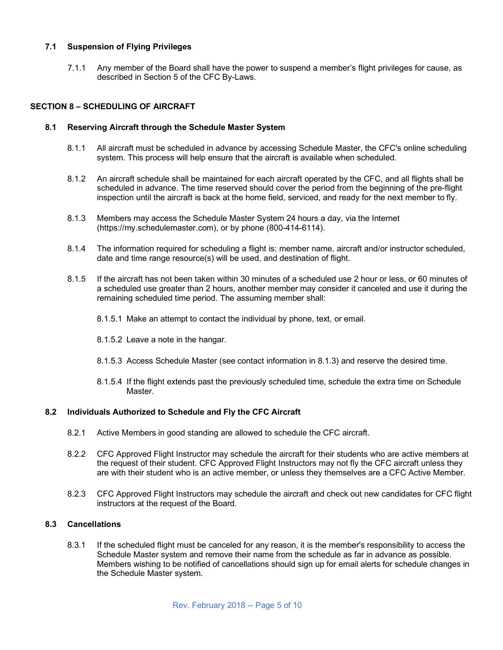# **7.1 Suspension of Flying Privileges**

7.1.1 Any member of the Board shall have the power to suspend a member's flight privileges for cause, as described in Section 5 of the CFC By-Laws.

# **SECTION 8 – SCHEDULING OF AIRCRAFT**

#### **8.1 Reserving Aircraft through the Schedule Master System**

- 8.1.1 All aircraft must be scheduled in advance by accessing Schedule Master, the CFC's online scheduling system. This process will help ensure that the aircraft is available when scheduled.
- 8.1.2 An aircraft schedule shall be maintained for each aircraft operated by the CFC, and all flights shall be scheduled in advance. The time reserved should cover the period from the beginning of the pre-flight inspection until the aircraft is back at the home field, serviced, and ready for the next member to fly.
- 8.1.3 Members may access the Schedule Master System 24 hours a day, via the Internet (https://my.schedulemaster.com), or by phone (800-414-6114).
- 8.1.4 The information required for scheduling a flight is: member name, aircraft and/or instructor scheduled, date and time range resource(s) will be used, and destination of flight.
- 8.1.5 If the aircraft has not been taken within 30 minutes of a scheduled use 2 hour or less, or 60 minutes of a scheduled use greater than 2 hours, another member may consider it canceled and use it during the remaining scheduled time period. The assuming member shall:
	- 8.1.5.1 Make an attempt to contact the individual by phone, text, or email.
	- 8.1.5.2 Leave a note in the hangar.
	- 8.1.5.3 Access Schedule Master (see contact information in 8.1.3) and reserve the desired time.
	- 8.1.5.4 If the flight extends past the previously scheduled time, schedule the extra time on Schedule Master.

#### **8.2 Individuals Authorized to Schedule and Fly the CFC Aircraft**

- 8.2.1 Active Members in good standing are allowed to schedule the CFC aircraft.
- 8.2.2 CFC Approved Flight Instructor may schedule the aircraft for their students who are active members at the request of their student. CFC Approved Flight Instructors may not fly the CFC aircraft unless they are with their student who is an active member, or unless they themselves are a CFC Active Member.
- 8.2.3 CFC Approved Flight Instructors may schedule the aircraft and check out new candidates for CFC flight instructors at the request of the Board.

# **8.3 Cancellations**

8.3.1 If the scheduled flight must be canceled for any reason, it is the member's responsibility to access the Schedule Master system and remove their name from the schedule as far in advance as possible. Members wishing to be notified of cancellations should sign up for email alerts for schedule changes in the Schedule Master system.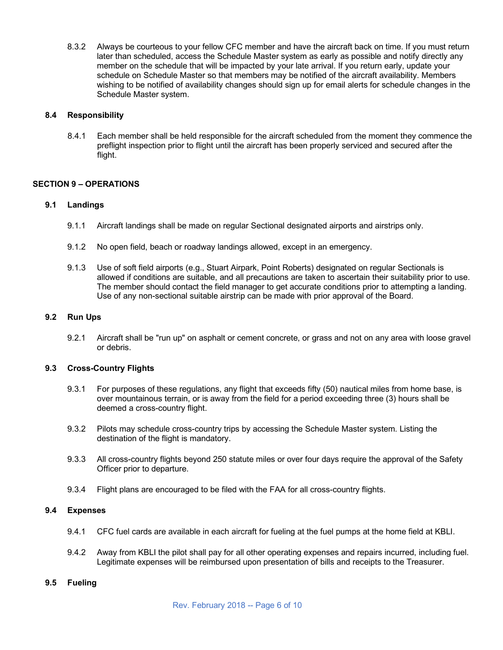8.3.2 Always be courteous to your fellow CFC member and have the aircraft back on time. If you must return later than scheduled, access the Schedule Master system as early as possible and notify directly any member on the schedule that will be impacted by your late arrival. If you return early, update your schedule on Schedule Master so that members may be notified of the aircraft availability. Members wishing to be notified of availability changes should sign up for email alerts for schedule changes in the Schedule Master system.

# **8.4 Responsibility**

8.4.1 Each member shall be held responsible for the aircraft scheduled from the moment they commence the preflight inspection prior to flight until the aircraft has been properly serviced and secured after the flight.

# **SECTION 9 – OPERATIONS**

# **9.1 Landings**

- 9.1.1 Aircraft landings shall be made on regular Sectional designated airports and airstrips only.
- 9.1.2 No open field, beach or roadway landings allowed, except in an emergency.
- 9.1.3 Use of soft field airports (e.g., Stuart Airpark, Point Roberts) designated on regular Sectionals is allowed if conditions are suitable, and all precautions are taken to ascertain their suitability prior to use. The member should contact the field manager to get accurate conditions prior to attempting a landing. Use of any non-sectional suitable airstrip can be made with prior approval of the Board.

# **9.2 Run Ups**

9.2.1 Aircraft shall be "run up" on asphalt or cement concrete, or grass and not on any area with loose gravel or debris.

### **9.3 Cross-Country Flights**

- 9.3.1 For purposes of these regulations, any flight that exceeds fifty (50) nautical miles from home base, is over mountainous terrain, or is away from the field for a period exceeding three (3) hours shall be deemed a cross-country flight.
- 9.3.2 Pilots may schedule cross-country trips by accessing the Schedule Master system. Listing the destination of the flight is mandatory.
- 9.3.3 All cross-country flights beyond 250 statute miles or over four days require the approval of the Safety Officer prior to departure.
- 9.3.4 Flight plans are encouraged to be filed with the FAA for all cross-country flights.

# **9.4 Expenses**

- 9.4.1 CFC fuel cards are available in each aircraft for fueling at the fuel pumps at the home field at KBLI.
- 9.4.2 Away from KBLI the pilot shall pay for all other operating expenses and repairs incurred, including fuel. Legitimate expenses will be reimbursed upon presentation of bills and receipts to the Treasurer.

### **9.5 Fueling**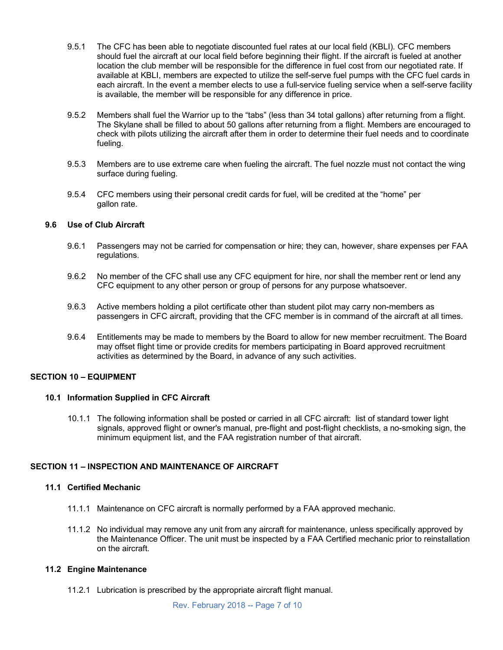- 9.5.1 The CFC has been able to negotiate discounted fuel rates at our local field (KBLI). CFC members should fuel the aircraft at our local field before beginning their flight. If the aircraft is fueled at another location the club member will be responsible for the difference in fuel cost from our negotiated rate. If available at KBLI, members are expected to utilize the self-serve fuel pumps with the CFC fuel cards in each aircraft. In the event a member elects to use a full-service fueling service when a self-serve facility is available, the member will be responsible for any difference in price.
- 9.5.2 Members shall fuel the Warrior up to the "tabs" (less than 34 total gallons) after returning from a flight. The Skylane shall be filled to about 50 gallons after returning from a flight. Members are encouraged to check with pilots utilizing the aircraft after them in order to determine their fuel needs and to coordinate fueling.
- 9.5.3 Members are to use extreme care when fueling the aircraft. The fuel nozzle must not contact the wing surface during fueling.
- 9.5.4 CFC members using their personal credit cards for fuel, will be credited at the "home" per gallon rate.

### **9.6 Use of Club Aircraft**

- 9.6.1 Passengers may not be carried for compensation or hire; they can, however, share expenses per FAA regulations.
- 9.6.2 No member of the CFC shall use any CFC equipment for hire, nor shall the member rent or lend any CFC equipment to any other person or group of persons for any purpose whatsoever.
- 9.6.3 Active members holding a pilot certificate other than student pilot may carry non-members as passengers in CFC aircraft, providing that the CFC member is in command of the aircraft at all times.
- 9.6.4 Entitlements may be made to members by the Board to allow for new member recruitment. The Board may offset flight time or provide credits for members participating in Board approved recruitment activities as determined by the Board, in advance of any such activities.

#### **SECTION 10 – EQUIPMENT**

### **10.1 Information Supplied in CFC Aircraft**

10.1.1 The following information shall be posted or carried in all CFC aircraft: list of standard tower light signals, approved flight or owner's manual, pre-flight and post-flight checklists, a no-smoking sign, the minimum equipment list, and the FAA registration number of that aircraft.

# **SECTION 11 – INSPECTION AND MAINTENANCE OF AIRCRAFT**

#### **11.1 Certified Mechanic**

- 11.1.1 Maintenance on CFC aircraft is normally performed by a FAA approved mechanic.
- 11.1.2 No individual may remove any unit from any aircraft for maintenance, unless specifically approved by the Maintenance Officer. The unit must be inspected by a FAA Certified mechanic prior to reinstallation on the aircraft.

### **11.2 Engine Maintenance**

11.2.1 Lubrication is prescribed by the appropriate aircraft flight manual.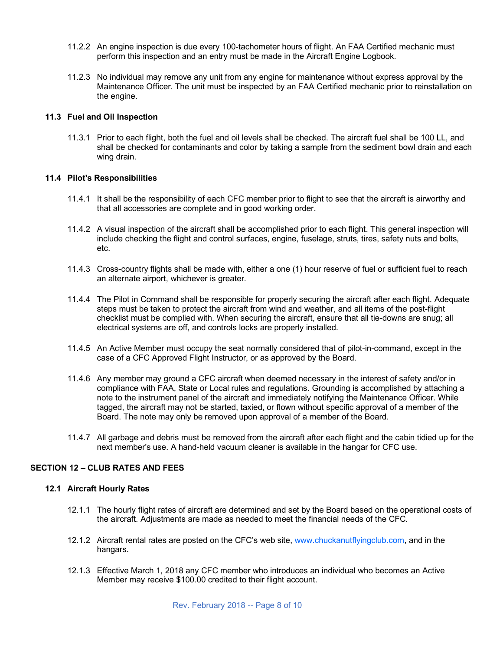- 11.2.2 An engine inspection is due every 100-tachometer hours of flight. An FAA Certified mechanic must perform this inspection and an entry must be made in the Aircraft Engine Logbook.
- 11.2.3 No individual may remove any unit from any engine for maintenance without express approval by the Maintenance Officer. The unit must be inspected by an FAA Certified mechanic prior to reinstallation on the engine.

# **11.3 Fuel and Oil Inspection**

11.3.1 Prior to each flight, both the fuel and oil levels shall be checked. The aircraft fuel shall be 100 LL, and shall be checked for contaminants and color by taking a sample from the sediment bowl drain and each wing drain.

# **11.4 Pilot's Responsibilities**

- 11.4.1 It shall be the responsibility of each CFC member prior to flight to see that the aircraft is airworthy and that all accessories are complete and in good working order.
- 11.4.2 A visual inspection of the aircraft shall be accomplished prior to each flight. This general inspection will include checking the flight and control surfaces, engine, fuselage, struts, tires, safety nuts and bolts, etc.
- 11.4.3 Cross-country flights shall be made with, either a one (1) hour reserve of fuel or sufficient fuel to reach an alternate airport, whichever is greater.
- 11.4.4 The Pilot in Command shall be responsible for properly securing the aircraft after each flight. Adequate steps must be taken to protect the aircraft from wind and weather, and all items of the post-flight checklist must be complied with. When securing the aircraft, ensure that all tie-downs are snug; all electrical systems are off, and controls locks are properly installed.
- 11.4.5 An Active Member must occupy the seat normally considered that of pilot-in-command, except in the case of a CFC Approved Flight Instructor, or as approved by the Board.
- 11.4.6 Any member may ground a CFC aircraft when deemed necessary in the interest of safety and/or in compliance with FAA, State or Local rules and regulations. Grounding is accomplished by attaching a note to the instrument panel of the aircraft and immediately notifying the Maintenance Officer. While tagged, the aircraft may not be started, taxied, or flown without specific approval of a member of the Board. The note may only be removed upon approval of a member of the Board.
- 11.4.7 All garbage and debris must be removed from the aircraft after each flight and the cabin tidied up for the next member's use. A hand-held vacuum cleaner is available in the hangar for CFC use.

# **SECTION 12 – CLUB RATES AND FEES**

### **12.1 Aircraft Hourly Rates**

- 12.1.1 The hourly flight rates of aircraft are determined and set by the Board based on the operational costs of the aircraft. Adjustments are made as needed to meet the financial needs of the CFC.
- 12.1.2 Aircraft rental rates are posted on the CFC's web site, www.chuckanutflyingclub.com, and in the hangars.
- 12.1.3 Effective March 1, 2018 any CFC member who introduces an individual who becomes an Active Member may receive \$100.00 credited to their flight account.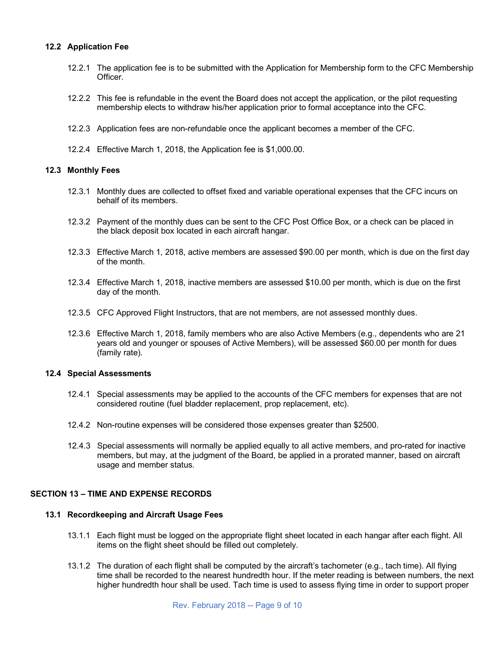# **12.2 Application Fee**

- 12.2.1 The application fee is to be submitted with the Application for Membership form to the CFC Membership Officer.
- 12.2.2 This fee is refundable in the event the Board does not accept the application, or the pilot requesting membership elects to withdraw his/her application prior to formal acceptance into the CFC.
- 12.2.3 Application fees are non-refundable once the applicant becomes a member of the CFC.
- 12.2.4 Effective March 1, 2018, the Application fee is \$1,000.00.

#### **12.3 Monthly Fees**

- 12.3.1 Monthly dues are collected to offset fixed and variable operational expenses that the CFC incurs on behalf of its members.
- 12.3.2 Payment of the monthly dues can be sent to the CFC Post Office Box, or a check can be placed in the black deposit box located in each aircraft hangar.
- 12.3.3 Effective March 1, 2018, active members are assessed \$90.00 per month, which is due on the first day of the month.
- 12.3.4 Effective March 1, 2018, inactive members are assessed \$10.00 per month, which is due on the first day of the month.
- 12.3.5 CFC Approved Flight Instructors, that are not members, are not assessed monthly dues.
- 12.3.6 Effective March 1, 2018, family members who are also Active Members (e.g., dependents who are 21 years old and younger or spouses of Active Members), will be assessed \$60.00 per month for dues (family rate).

#### **12.4 Special Assessments**

- 12.4.1 Special assessments may be applied to the accounts of the CFC members for expenses that are not considered routine (fuel bladder replacement, prop replacement, etc).
- 12.4.2 Non-routine expenses will be considered those expenses greater than \$2500.
- 12.4.3 Special assessments will normally be applied equally to all active members, and pro-rated for inactive members, but may, at the judgment of the Board, be applied in a prorated manner, based on aircraft usage and member status.

# **SECTION 13 – TIME AND EXPENSE RECORDS**

#### **13.1 Recordkeeping and Aircraft Usage Fees**

- 13.1.1 Each flight must be logged on the appropriate flight sheet located in each hangar after each flight. All items on the flight sheet should be filled out completely.
- 13.1.2 The duration of each flight shall be computed by the aircraft's tachometer (e.g., tach time). All flying time shall be recorded to the nearest hundredth hour. If the meter reading is between numbers, the next higher hundredth hour shall be used. Tach time is used to assess flying time in order to support proper